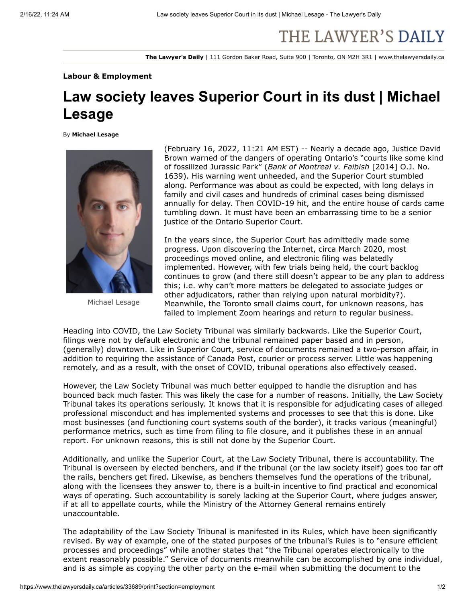## THE LAWYER'S DAILY

**The Lawyer's Daily** | 111 Gordon Baker Road, Suite 900 | Toronto, ON M2H 3R1 | www.thelawyersdaily.ca

## **Labour & Employment**

## **Law society leaves Superior Court in its dust | Michael Lesage**

By **Michael Lesage**



Michael Lesage

(February 16, 2022, 11:21 AM EST) -- Nearly a decade ago, Justice David Brown warned of the dangers of operating Ontario's "courts like some kind of fossilized Jurassic Park" (*Bank of Montreal v. Faibish* [2014] O.J. No. 1639). His warning went unheeded, and the Superior Court stumbled along. Performance was about as could be expected, with long delays in family and civil cases and hundreds of criminal cases being dismissed annually for delay. Then COVID-19 hit, and the entire house of cards came tumbling down. It must have been an embarrassing time to be a senior justice of the Ontario Superior Court.

In the years since, the Superior Court has admittedly made some progress. Upon discovering the Internet, circa March 2020, most proceedings moved online, and electronic filing was belatedly implemented. However, with few trials being held, the court backlog continues to grow (and there still doesn't appear to be any plan to address this; i.e. why can't more matters be delegated to associate judges or other adjudicators, rather than relying upon natural morbidity?). Meanwhile, the Toronto small claims court, for unknown reasons, has failed to implement Zoom hearings and return to regular business.

Heading into COVID, the Law Society Tribunal was similarly backwards. Like the Superior Court, filings were not by default electronic and the tribunal remained paper based and in person, (generally) downtown. Like in Superior Court, service of documents remained a two-person affair, in addition to requiring the assistance of Canada Post, courier or process server. Little was happening remotely, and as a result, with the onset of COVID, tribunal operations also effectively ceased.

However, the Law Society Tribunal was much better equipped to handle the disruption and has bounced back much faster. This was likely the case for a number of reasons. Initially, the Law Society Tribunal takes its operations seriously. It knows that it is responsible for adjudicating cases of alleged professional misconduct and has implemented systems and processes to see that this is done. Like most businesses (and functioning court systems south of the border), it tracks various (meaningful) [performance metrics, such as time from filing to file closure, and it publishes these in an annual](https://s3.amazonaws.com/tld-documents.llnassets.com/0033000/33689/final_2019-law-society-tribunal-annual-report_acc.pdf) report. For unknown reasons, this is still not done by the [Superior Court.](https://s3.amazonaws.com/tld-documents.llnassets.com/0033000/33689/courtstats.pdf)

Additionally, and unlike the Superior Court, at the Law Society Tribunal, there is accountability. The Tribunal is overseen by elected benchers, and if the tribunal (or the law society itself) goes too far off the rails, benchers get fired. Likewise, as benchers themselves fund the operations of the tribunal, along with the licensees they answer to, there is a built-in incentive to find practical and economical ways of operating. Such accountability is sorely lacking at the Superior Court, where judges answer, if at all to appellate courts, while the Ministry of the Attorney General remains entirely unaccountable.

The adaptability of the Law Society Tribunal is manifested in its Rules, which have been significantly revised. By way of example, one of the stated purposes of the tribunal's Rules is to "ensure efficient processes and proceedings" while another states that "the Tribunal operates electronically to the extent reasonably possible." Service of documents meanwhile can be accomplished by one individual, and is as simple as copying the other party on the e-mail when submitting the document to the